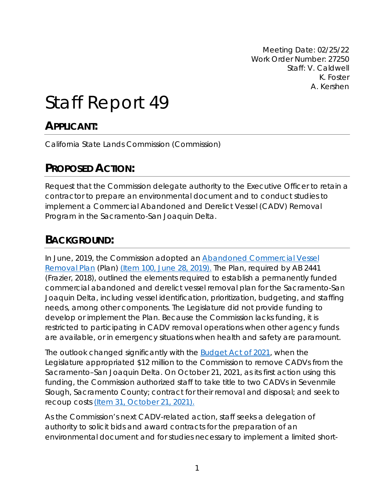Meeting Date: 02/25/22 Work Order Number: 27250 Staff: V. Caldwell K. Foster A. Kershen

# Staff Report 49

### **APPLICANT:**

California State Lands Commission (Commission)

# **PROPOSED ACTION:**

Request that the Commission delegate authority to the Executive Officer to retain a contractor to prepare an environmental document and to conduct studies to implement a Commercial Abandoned and Derelict Vessel (CADV) Removal Program in the Sacramento-San Joaquin Delta.

### **BACKGROUND:**

In June, 2019, the Commission adopted an [Abandoned Commercial Vessel](https://slcprdwordpressstorage.blob.core.windows.net/wordpressdata/2019/06/AB2441-Plan-final-062819.pdf)  [Removal Plan](https://slcprdwordpressstorage.blob.core.windows.net/wordpressdata/2019/06/AB2441-Plan-final-062819.pdf) (Plan) [\(Item 100, June 28, 2019\).](https://www.slc.ca.gov/wp-content/uploads/2019/06/06-28-19_100.pdf) The Plan, required by AB 2441 (Frazier, 2018), outlined the elements required to establish a permanently funded commercial abandoned and derelict vessel removal plan for the Sacramento-San Joaquin Delta, including vessel identification, prioritization, budgeting, and staffing needs, among other components. The Legislature did not provide funding to develop or implement the Plan. Because the Commission lacks funding, it is restricted to participating in CADV removal operations when other agency funds are available, or in emergency situations when health and safety are paramount.

The outlook changed significantly with the [Budget Act of 2021,](https://leginfo.legislature.ca.gov/faces/billNavClient.xhtml?bill_id=202120220SB129) when the Legislature appropriated \$12 million to the Commission to remove CADVs from the Sacramento–San Joaquin Delta. On October 21, 2021, as its first action using this funding, the Commission authorized staff to take title to two CADVs in Sevenmile Slough, Sacramento County; contract for their removal and disposal; and seek to recoup costs [\(Item 31, October 21, 2021\).](https://slcprdwordpressstorage.blob.core.windows.net/wordpressdata/2021/10/10-21-21_31.pdf)

As the Commission's next CADV-related action, staff seeks a delegation of authority to solicit bids and award contracts for the preparation of an environmental document and for studies necessary to implement a limited short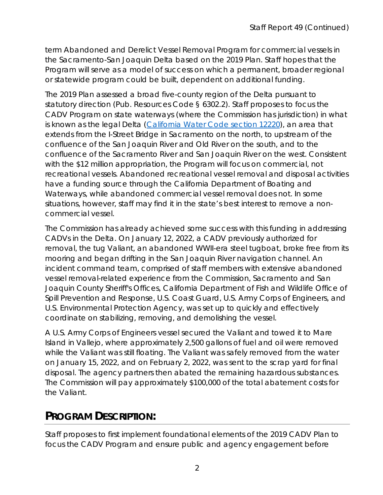term Abandoned and Derelict Vessel Removal Program for commercial vessels in the Sacramento-San Joaquin Delta based on the 2019 Plan. Staff hopes that the Program will serve as a model of success on which a permanent, broader regional or statewide program could be built, dependent on additional funding.

The 2019 Plan assessed a broad five-county region of the Delta pursuant to statutory direction (Pub. Resources Code § 6302.2). Staff proposes to focus the CADV Program on state waterways (where the Commission has jurisdiction) in what is known as the legal Delta [\(California Water Code section 12220\)](https://leginfo.legislature.ca.gov/faces/codes_displayText.xhtml?lawCode=WAT&division=6.&title=&part=4.5.&chapter=2.&article=), an area that extends from the I-Street Bridge in Sacramento on the north, to upstream of the confluence of the San Joaquin River and Old River on the south, and to the confluence of the Sacramento River and San Joaquin River on the west. Consistent with the \$12 million appropriation, the Program will focus on commercial, not recreational vessels. Abandoned recreational vessel removal and disposal activities have a funding source through the California Department of Boating and Waterways, while abandoned commercial vessel removal does not. In some situations, however, staff may find it in the state's best interest to remove a noncommercial vessel.

The Commission has already achieved some success with this funding in addressing CADVs in the Delta. On January 12, 2022, a CADV previously authorized for removal, the tug Valiant, an abandoned WWII-era steel tugboat, broke free from its mooring and began drifting in the San Joaquin River navigation channel. An incident command team, comprised of staff members with extensive abandoned vessel removal-related experience from the Commission, Sacramento and San Joaquin County Sheriff's Offices, California Department of Fish and Wildlife Office of Spill Prevention and Response, U.S. Coast Guard, U.S. Army Corps of Engineers, and U.S. Environmental Protection Agency, was set up to quickly and effectively coordinate on stabilizing, removing, and demolishing the vessel.

A U.S. Army Corps of Engineers vessel secured the Valiant and towed it to Mare Island in Vallejo, where approximately 2,500 gallons of fuel and oil were removed while the Valiant was still floating. The Valiant was safely removed from the water on January 15, 2022, and on February 2, 2022, was sent to the scrap yard for final disposal. The agency partners then abated the remaining hazardous substances. The Commission will pay approximately \$100,000 of the total abatement costs for the Valiant.

# **PROGRAM DESCRIPTION:**

Staff proposes to first implement foundational elements of the 2019 CADV Plan to focus the CADV Program and ensure public and agency engagement before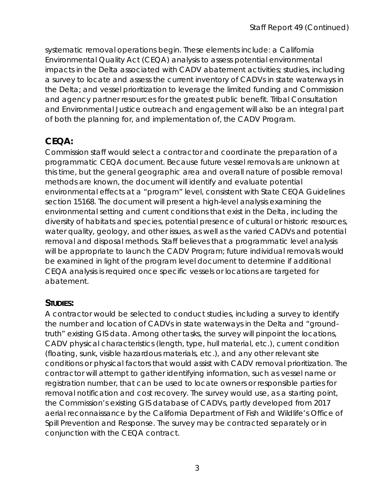systematic removal operations begin. These elements include: a California Environmental Quality Act (CEQA) analysis to assess potential environmental impacts in the Delta associated with CADV abatement activities; studies, including a survey to locate and assess the current inventory of CADVs in state waterways in the Delta; and vessel prioritization to leverage the limited funding and Commission and agency partner resources for the greatest public benefit. Tribal Consultation and Environmental Justice outreach and engagement will also be an integral part of both the planning for, and implementation of, the CADV Program.

### **CEQA:**

Commission staff would select a contractor and coordinate the preparation of a programmatic CEQA document. Because future vessel removals are unknown at this time, but the general geographic area and overall nature of possible removal methods are known, the document will identify and evaluate potential environmental effects at a "program" level, consistent with State CEQA Guidelines section 15168. The document will present a high-level analysis examining the environmental setting and current conditions that exist in the Delta, including the diversity of habitats and species, potential presence of cultural or historic resources, water quality, geology, and other issues, as well as the varied CADVs and potential removal and disposal methods. Staff believes that a programmatic level analysis will be appropriate to launch the CADV Program; future individual removals would be examined in light of the program level document to determine if additional CEQA analysis is required once specific vessels or locations are targeted for abatement.

#### **STUDIES:**

A contractor would be selected to conduct studies, including a survey to identify the number and location of CADVs in state waterways in the Delta and "groundtruth" existing GIS data. Among other tasks, the survey will pinpoint the locations, CADV physical characteristics (length, type, hull material, etc.), current condition (floating, sunk, visible hazardous materials, etc.), and any other relevant site conditions or physical factors that would assist with CADV removal prioritization. The contractor will attempt to gather identifying information, such as vessel name or registration number, that can be used to locate owners or responsible parties for removal notification and cost recovery. The survey would use, as a starting point, the Commission's existing GIS database of CADVs, partly developed from 2017 aerial reconnaissance by the California Department of Fish and Wildlife's Office of Spill Prevention and Response. The survey may be contracted separately or in conjunction with the CEQA contract.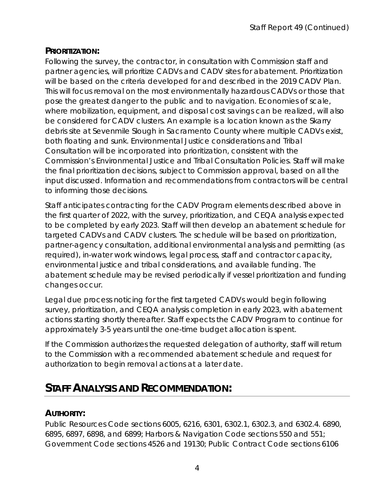#### **PRIORITIZATION:**

Following the survey, the contractor, in consultation with Commission staff and partner agencies, will prioritize CADVs and CADV sites for abatement. Prioritization will be based on the criteria developed for and described in the 2019 CADV Plan. This will focus removal on the most environmentally hazardous CADVs or those that pose the greatest danger to the public and to navigation. Economies of scale, where mobilization, equipment, and disposal cost savings can be realized, will also be considered for CADV clusters. An example is a location known as the Skarry debris site at Sevenmile Slough in Sacramento County where multiple CADVs exist, both floating and sunk. Environmental Justice considerations and Tribal Consultation will be incorporated into prioritization, consistent with the Commission's Environmental Justice and Tribal Consultation Policies. Staff will make the final prioritization decisions, subject to Commission approval, based on all the input discussed. Information and recommendations from contractors will be central to informing those decisions.

Staff anticipates contracting for the CADV Program elements described above in the first quarter of 2022, with the survey, prioritization, and CEQA analysis expected to be completed by early 2023. Staff will then develop an abatement schedule for targeted CADVs and CADV clusters. The schedule will be based on prioritization, partner-agency consultation, additional environmental analysis and permitting (as required), in-water work windows, legal process, staff and contractor capacity, environmental justice and tribal considerations, and available funding. The abatement schedule may be revised periodically if vessel prioritization and funding changes occur.

Legal due process noticing for the first targeted CADVs would begin following survey, prioritization, and CEQA analysis completion in early 2023, with abatement actions starting shortly thereafter. Staff expects the CADV Program to continue for approximately 3-5 years until the one-time budget allocation is spent.

If the Commission authorizes the requested delegation of authority, staff will return to the Commission with a recommended abatement schedule and request for authorization to begin removal actions at a later date.

# **STAFF ANALYSIS AND RECOMMENDATION:**

### **AUTHORITY:**

Public Resources Code sections 6005, 6216, 6301, 6302.1, 6302.3, and 6302.4. 6890, 6895, 6897, 6898, and 6899; Harbors & Navigation Code sections 550 and 551; Government Code sections 4526 and 19130; Public Contract Code sections 6106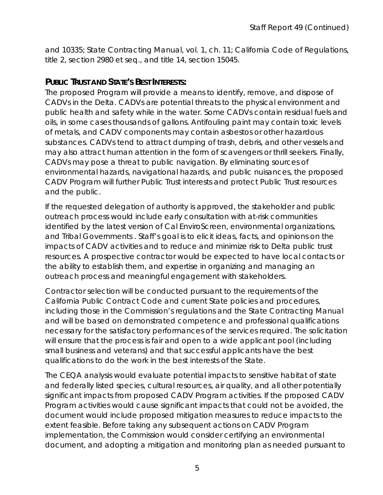and 10335; State Contracting Manual, vol. 1, ch. 11; California Code of Regulations, title 2, section 2980 et seq., and title 14, section 15045.

#### **PUBLIC TRUST AND STATE'S BEST INTERESTS:**

The proposed Program will provide a means to identify, remove, and dispose of CADVs in the Delta. CADVs are potential threats to the physical environment and public health and safety while in the water. Some CADVs contain residual fuels and oils, in some cases thousands of gallons. Antifouling paint may contain toxic levels of metals, and CADV components may contain asbestos or other hazardous substances. CADVs tend to attract dumping of trash, debris, and other vessels and may also attract human attention in the form of scavengers or thrill seekers. Finally, CADVs may pose a threat to public navigation. By eliminating sources of environmental hazards, navigational hazards, and public nuisances, the proposed CADV Program will further Public Trust interests and protect Public Trust resources and the public.

If the requested delegation of authority is approved, the stakeholder and public outreach process would include early consultation with at-risk communities identified by the latest version of Cal EnviroScreen, environmental organizations, and Tribal Governments . Staff's goal is to elicit ideas, facts, and opinions on the impacts of CADV activities and to reduce and minimize risk to Delta public trust resources. A prospective contractor would be expected to have local contacts or the ability to establish them, and expertise in organizing and managing an outreach process and meaningful engagement with stakeholders.

Contractor selection will be conducted pursuant to the requirements of the California Public Contract Code and current State policies and procedures, including those in the Commission's regulations and the State Contracting Manual and will be based on demonstrated competence and professional qualifications necessary for the satisfactory performances of the services required. The solicitation will ensure that the process is fair and open to a wide applicant pool (including small business and veterans) and that successful applicants have the best qualifications to do the work in the best interests of the State.

The CEQA analysis would evaluate potential impacts to sensitive habitat of state and federally listed species, cultural resources, air quality, and all other potentially significant impacts from proposed CADV Program activities. If the proposed CADV Program activities would cause significant impacts that could not be avoided, the document would include proposed mitigation measures to reduce impacts to the extent feasible. Before taking any subsequent actions on CADV Program implementation, the Commission would consider certifying an environmental document, and adopting a mitigation and monitoring plan as needed pursuant to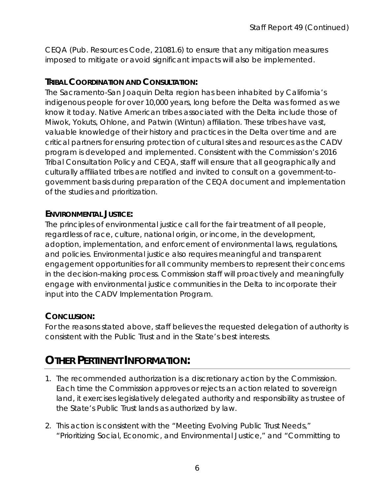CEQA (Pub. Resources Code, 21081.6) to ensure that any mitigation measures imposed to mitigate or avoid significant impacts will also be implemented.

#### **TRIBAL COORDINATION AND CONSULTATION:**

The Sacramento-San Joaquin Delta region has been inhabited by California's indigenous people for over 10,000 years, long before the Delta was formed as we know it today. Native American tribes associated with the Delta include those of Miwok, Yokuts, Ohlone, and Patwin (Wintun) affiliation. These tribes have vast, valuable knowledge of their history and practices in the Delta over time and are critical partners for ensuring protection of cultural sites and resources as the CADV program is developed and implemented. Consistent with the Commission's 2016 Tribal Consultation Policy and CEQA, staff will ensure that all geographically and culturally affiliated tribes are notified and invited to consult on a government-togovernment basis during preparation of the CEQA document and implementation of the studies and prioritization.

#### **ENVIRONMENTAL JUSTICE:**

The principles of environmental justice call for the fair treatment of all people, regardless of race, culture, national origin, or income, in the development, adoption, implementation, and enforcement of environmental laws, regulations, and policies. Environmental justice also requires meaningful and transparent engagement opportunities for all community members to represent their concerns in the decision-making process. Commission staff will proactively and meaningfully engage with environmental justice communities in the Delta to incorporate their input into the CADV Implementation Program.

#### **CONCLUSION:**

For the reasons stated above, staff believes the requested delegation of authority is consistent with the Public Trust and in the State's best interests.

### **OTHER PERTINENT INFORMATION:**

- 1. The recommended authorization is a discretionary action by the Commission. Each time the Commission approves or rejects an action related to sovereign land, it exercises legislatively delegated authority and responsibility as trustee of the State's Public Trust lands as authorized by law.
- 2. This action is consistent with the "Meeting Evolving Public Trust Needs," "Prioritizing Social, Economic, and Environmental Justice," and "Committing to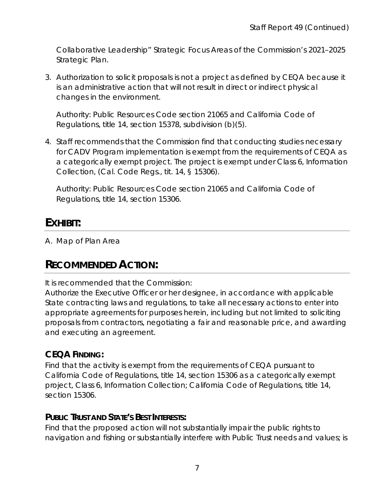Collaborative Leadership" Strategic Focus Areas of the Commission's 2021–2025 Strategic Plan.

3. Authorization to solicit proposals is not a project as defined by CEQA because it is an administrative action that will not result in direct or indirect physical changes in the environment.

Authority: Public Resources Code section 21065 and California Code of Regulations, title 14, section 15378, subdivision (b)(5).

4. Staff recommends that the Commission find that conducting studies necessary for CADV Program implementation is exempt from the requirements of CEQA as a categorically exempt project. The project is exempt under Class 6, Information Collection, (Cal. Code Regs., tit. 14, § 15306).

Authority: Public Resources Code section 21065 and California Code of Regulations, title 14, section 15306.

### **EXHIBIT:**

A. Map of Plan Area

# **RECOMMENDED ACTION:**

It is recommended that the Commission:

Authorize the Executive Officer or her designee, in accordance with applicable State contracting laws and regulations, to take all necessary actions to enter into appropriate agreements for purposes herein, including but not limited to soliciting proposals from contractors, negotiating a fair and reasonable price, and awarding and executing an agreement.

### **CEQA FINDING:**

Find that the activity is exempt from the requirements of CEQA pursuant to California Code of Regulations, title 14, section 15306 as a categorically exempt project, Class 6, Information Collection; California Code of Regulations, title 14, section 15306.

#### **PUBLIC TRUST AND STATE'S BEST INTERESTS:**

Find that the proposed action will not substantially impair the public rights to navigation and fishing or substantially interfere with Public Trust needs and values; is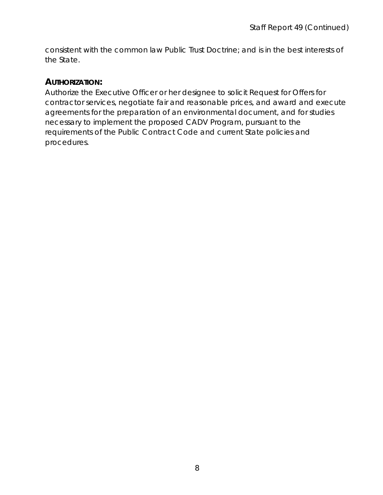consistent with the common law Public Trust Doctrine; and is in the best interests of the State.

#### **AUTHORIZATION:**

Authorize the Executive Officer or her designee to solicit Request for Offers for contractor services, negotiate fair and reasonable prices, and award and execute agreements for the preparation of an environmental document, and for studies necessary to implement the proposed CADV Program, pursuant to the requirements of the Public Contract Code and current State policies and procedures.